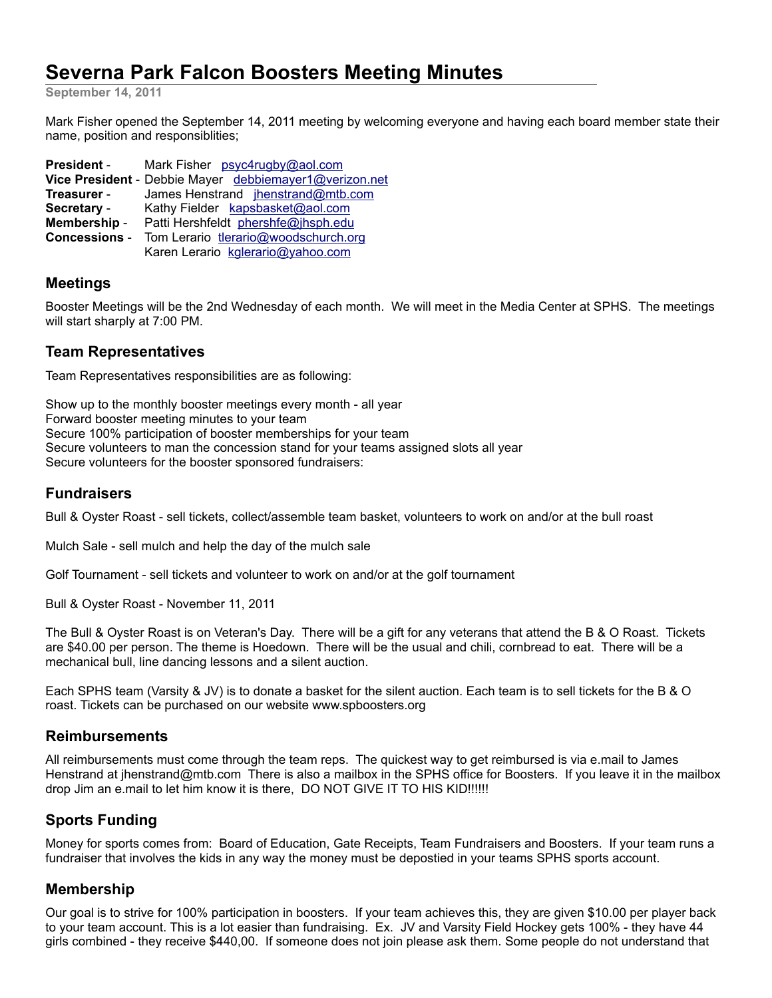# **Severna Park Falcon Boosters Meeting Minutes**

**September 14, 2011**

Mark Fisher opened the September 14, 2011 meeting by welcoming everyone and having each board member state their name, position and responsiblities;

| <b>President -</b>   | Mark Fisher psyc4rugby@aol.com                         |
|----------------------|--------------------------------------------------------|
|                      | Vice President - Debbie Mayer debbiemayer1@verizon.net |
| Treasurer -          | James Henstrand jhenstrand@mtb.com                     |
| Secretary -          | Kathy Fielder kapsbasket@aol.com                       |
| Membership -         | Patti Hershfeldt phershfe@jhsph.edu                    |
| <b>Concessions -</b> | Tom Lerario tlerario@woodschurch.org                   |
|                      | Karen Lerario kglerario@yahoo.com                      |

## **Meetings**

Booster Meetings will be the 2nd Wednesday of each month. We will meet in the Media Center at SPHS. The meetings will start sharply at 7:00 PM.

#### **Team Representatives**

Team Representatives responsibilities are as following:

Show up to the monthly booster meetings every month - all year Forward booster meeting minutes to your team Secure 100% participation of booster memberships for your team Secure volunteers to man the concession stand for your teams assigned slots all year Secure volunteers for the booster sponsored fundraisers:

# **Fundraisers**

Bull & Oyster Roast - sell tickets, collect/assemble team basket, volunteers to work on and/or at the bull roast

Mulch Sale - sell mulch and help the day of the mulch sale

Golf Tournament - sell tickets and volunteer to work on and/or at the golf tournament

Bull & Oyster Roast - November 11, 2011

The Bull & Oyster Roast is on Veteran's Day. There will be a gift for any veterans that attend the B & O Roast. Tickets are \$40.00 per person. The theme is Hoedown. There will be the usual and chili, cornbread to eat. There will be a mechanical bull, line dancing lessons and a silent auction.

Each SPHS team (Varsity & JV) is to donate a basket for the silent auction. Each team is to sell tickets for the B & O roast. Tickets can be purchased on our website www.spboosters.org

#### **Reimbursements**

All reimbursements must come through the team reps. The quickest way to get reimbursed is via e.mail to James Henstrand at jhenstrand@mtb.com There is also a mailbox in the SPHS office for Boosters. If you leave it in the mailbox drop Jim an e.mail to let him know it is there, DO NOT GIVE IT TO HIS KID!!!!!!

# **Sports Funding**

Money for sports comes from: Board of Education, Gate Receipts, Team Fundraisers and Boosters. If your team runs a fundraiser that involves the kids in any way the money must be depostied in your teams SPHS sports account.

#### **Membership**

Our goal is to strive for 100% participation in boosters. If your team achieves this, they are given \$10.00 per player back to your team account. This is a lot easier than fundraising. Ex. JV and Varsity Field Hockey gets 100% - they have 44 girls combined - they receive \$440,00. If someone does not join please ask them. Some people do not understand that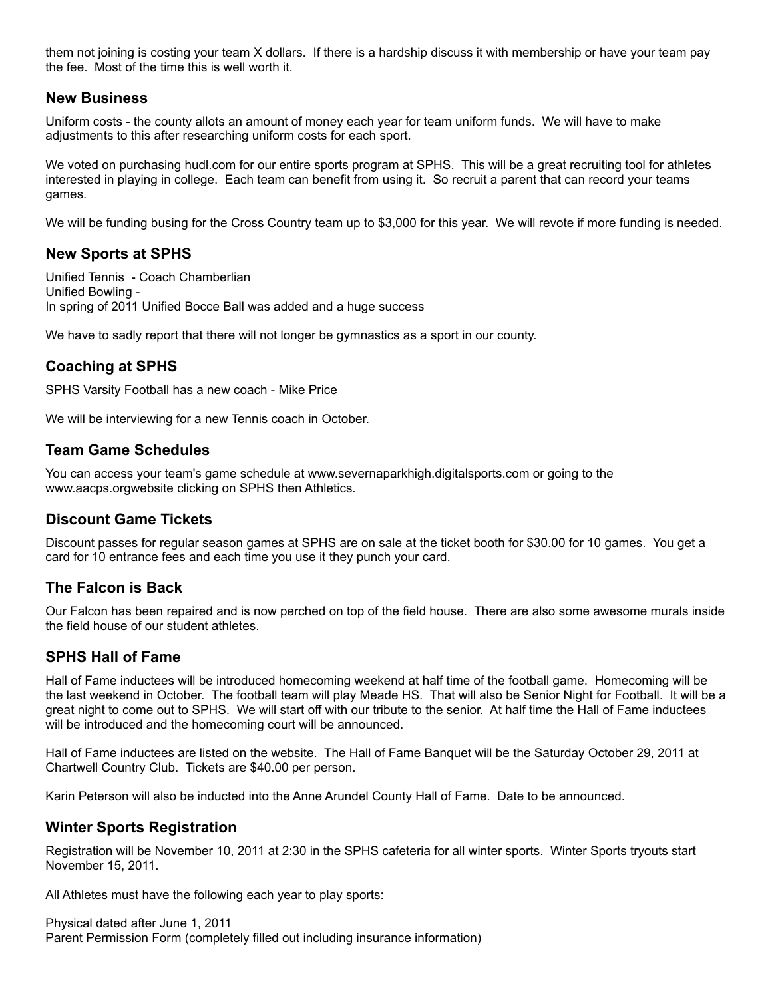them not joining is costing your team X dollars. If there is a hardship discuss it with membership or have your team pay the fee. Most of the time this is well worth it.

## **New Business**

Uniform costs - the county allots an amount of money each year for team uniform funds. We will have to make adjustments to this after researching uniform costs for each sport.

We voted on purchasing hudl.com for our entire sports program at SPHS. This will be a great recruiting tool for athletes interested in playing in college. Each team can benefit from using it. So recruit a parent that can record your teams games.

We will be funding busing for the Cross Country team up to \$3,000 for this year. We will revote if more funding is needed.

## **New Sports at SPHS**

Unified Tennis - Coach Chamberlian Unified Bowling - In spring of 2011 Unified Bocce Ball was added and a huge success

We have to sadly report that there will not longer be gymnastics as a sport in our county.

# **Coaching at SPHS**

SPHS Varsity Football has a new coach - Mike Price

We will be interviewing for a new Tennis coach in October.

## **Team Game Schedules**

You can access your team's game schedule at www.severnaparkhigh.digitalsports.com or going to the www.aacps.orgwebsite clicking on SPHS then Athletics.

# **Discount Game Tickets**

Discount passes for regular season games at SPHS are on sale at the ticket booth for \$30.00 for 10 games. You get a card for 10 entrance fees and each time you use it they punch your card.

# **The Falcon is Back**

Our Falcon has been repaired and is now perched on top of the field house. There are also some awesome murals inside the field house of our student athletes.

# **SPHS Hall of Fame**

Hall of Fame inductees will be introduced homecoming weekend at half time of the football game. Homecoming will be the last weekend in October. The football team will play Meade HS. That will also be Senior Night for Football. It will be a great night to come out to SPHS. We will start off with our tribute to the senior. At half time the Hall of Fame inductees will be introduced and the homecoming court will be announced.

Hall of Fame inductees are listed on the website. The Hall of Fame Banquet will be the Saturday October 29, 2011 at Chartwell Country Club. Tickets are \$40.00 per person.

Karin Peterson will also be inducted into the Anne Arundel County Hall of Fame. Date to be announced.

# **Winter Sports Registration**

Registration will be November 10, 2011 at 2:30 in the SPHS cafeteria for all winter sports. Winter Sports tryouts start November 15, 2011.

All Athletes must have the following each year to play sports:

Physical dated after June 1, 2011 Parent Permission Form (completely filled out including insurance information)